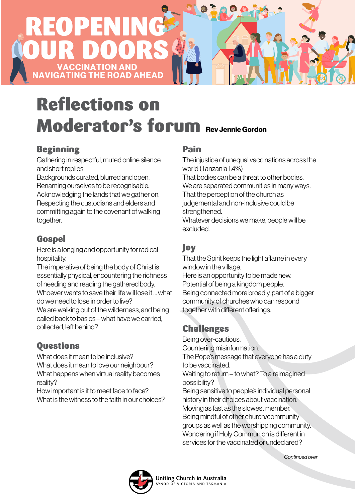# **CCINATION AND ROAD AHEAD** REOPENING OUR DOORS

# Reflections on Moderator's forum Rev Jennie Gordon

#### Beginning

Gathering in respectful, muted online silence and short replies.

Backgrounds curated, blurred and open. Renaming ourselves to be recognisable. Acknowledging the lands that we gather on. Respecting the custodians and elders and committing again to the covenant of walking together.

## **Gospel**

Here is a longing and opportunity for radical hospitality.

The imperative of being the body of Christ is essentially physical, encountering the richness of needing and reading the gathered body. Whoever wants to save their life will lose it what

do we need to lose in order to live? We are walking out of the wilderness, and being

called back to basics – what have we carried, collected, left behind?

## **Questions**

What does it mean to be inclusive? What does it mean to love our neighbour? What happens when virtual reality becomes reality?

How important is it to meet face to face? What is the witness to the faith in our choices?

#### Pain

The injustice of unequal vaccinations across the world (Tanzania 1.4%) That bodies can be a threat to other bodies. We are separated communities in many ways. That the perception of the church as judgemental and non-inclusive could be strengthened. Whatever decisions we make, people will be excluded.

#### Joy

That the Spirit keeps the light aflame in every window in the village. Here is an opportunity to be made new. Potential of being a kingdom people. Being connected more broadly, part of a bigger community of churches who can respond together with different offerings.

## Challenges

Being over-cautious. Countering misinformation. The Pope's message that everyone has a duty

to be vaccinated.

Waiting to return – to what? To a reimagined possibility?

Being sensitive to people's individual personal history in their choices about vaccination. Moving as fast as the slowest member. Being mindful of other church/community groups as well as the worshipping community. Wondering if Holy Communion is different in services for the vaccinated or undeclared?



*Continued over*